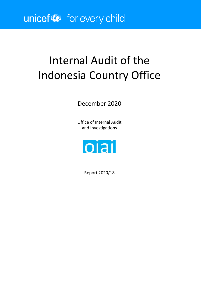# unicef<sup>®</sup> for every child

# Internal Audit of the Indonesia Country Office

December 2020

Office of Internal Audit and Investigations



Report 2020/18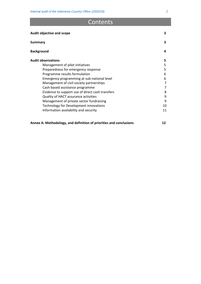## **Contents**

| Audit objective and scope                        | 3  |
|--------------------------------------------------|----|
| <b>Summary</b>                                   | 3  |
| <b>Background</b>                                | 4  |
| <b>Audit observations</b>                        | 5. |
| Management of pilot initiatives                  | 5  |
| Preparedness for emergency response              | 5  |
| Programme results formulation                    | 6  |
| Emergency programming at sub-national level      | 6  |
| Management of civil society partnerships         | 7  |
| Cash-based assistance programme                  | 7  |
| Evidence to support use of direct cash transfers | 8  |
| Quality of HACT assurance activities             | 9  |
| Management of private sector fundraising         | 9  |
| Technology for Development innovations           | 10 |
| Information availability and security            | 11 |

#### **Annex A: Methodology, and definition of priorities and conclusions 12**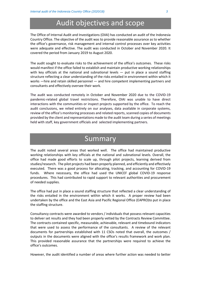# Audit objectives and scope

The Office of Internal Audit and Investigations (OIAI) has conducted an audit of the Indonesia Country Office. The objective of the audit was to provide reasonable assurance as to whether the office's governance, risk management and internal control processes over key activities were adequate and effective. The audit was conducted in October and November 2020. It covered the period from January 2019 to August 2020.

The audit sought to evaluate risks to the achievement of the office's outcomes. These risks would manifest if the office failed to establish and maintain productive working relationships with key officials at the national and subnational levels  $-$  put in place a sound staffing structure reflecting a clear understanding of the risks entailed in environment within which it works —hire and retain skilled personnel — and hire competent implementing partners and consultants and effectively oversee their work.

The audit was conducted remotely in October and November 2020 due to the COVID-19 pandemic-related global travel restrictions. Therefore, OIAI was unable to have direct interactions with the communities or inspect projects supported by the office. To reach the audit conclusions, we relied entirely on our analyses, data available in corporate systems, review of the office's monitoring processes and related reports, scanned copies of documents provided by the client and representations made to the audit team during a series of meetings held with staff, key government officials and selected implementing partners.

## Summary

The audit noted several areas that worked well. The office had maintained productive working relationships with key officials at the national and subnational levels. Overall, the office had made good efforts to scale up, through pilot projects, learning derived from studies/research. The pilot projects had been properly planned, and efficiently and effectively executed. There was a good process for allocating, tracking, and accounting for COVID-19 funds. Where necessary, the office had used the UNICEF global COVID-19 response procedures. This had contributed to rapid support to relevant authorities and procurement of needed supplies.

The office had put in place a sound staffing structure that reflected a clear understanding of the risks entailed in the environment within which it works. A proper review had been undertaken by the office and the East Asia and Pacific Regional Office (EAPRO)to put in place the staffing structure.

Consultancy contracts were awarded to vendors / individuals that possess relevant capacities to deliver set results and they had been properly vetted by the Contracts Review Committee. The contracts contained specific, measurable, achievable, relevant and timebound indicators that were used to assess the performance of the consultants. A review of the relevant documents for partnerships established with 11 CSOs noted that overall, the outcomes / outputs in the documents were aligned with the office's results framework and work plan. This provided reasonable assurance that the partnerships were required to achieve the office's outcomes.

However, the audit identified a number of areas where further action was needed to better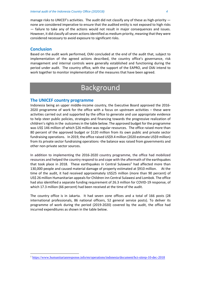manage risks to UNICEF's activities. The audit did not classify any of these as high-priority none are considered imperative to ensure that the audited entity is not exposed to high risks — failure to take any of the actions would not result in major consequences and issues. However, it did classify all seven actions identified as medium priority, meaning that they were considered necessary to avoid exposure to significant risks.

#### **Conclusion**

Based on the audit work performed, OIAI concluded at the end of the audit that, subject to implementation of the agreed actions described, the country office's governance, risk management and internal controls were generally established and functioning during the period under audit. The country office, with the support of the EAPRO, and OIAI intend to work together to monitor implementation of the measures that have been agreed.

# Background

#### **The UNICEF country programme**

Indonesia being an upper middle-income country, the Executive Board approved the 2016- 2020 programme of work for the office with a focus on upstream activities – these were activities carried out and supported by the office to generate and use appropriate evidence to help steer public policies, strategies and financing towards the progressive realization of children's rights in the outcomes in the table below. The approved budget for the programme was US\$ 146 million of which \$26 million was regular resources. The office raised more than 80 percent of the approved budget or \$120 million from its own public and private sector fundraising operations. In 2019, the office raised US\$9.4 million (2020 estimate US\$9 million) from its private sector fundraising operations -the balance was raised from governments and other non-private sector sources.

In addition to implementing the 2016-2020 country programme, the office had mobilized resources and helped the country respond to and cope with the aftermath of the earthquakes that took place in 20[1](#page-3-0)8. These earthquakes in Central Sulawesi<sup>1</sup> had affected more than 130,000 people and caused material damage of property estimated at \$910 million. At the time of the audit, it had received approximately US\$25 million (more than 90 percent) of US\$ 26 million Humanitarian appeals for Children inn Central Sulawesi and Lombok. The office had also identified a separate funding requirement of 26.3 million for COVID-19 response, of which 17.3 million (66 percent) had been received at the time of the audit.

The country office is in Jakarta. It had seven zone offices and a total of 166 posts (28 international professionals, 86 national officers, 52 general service posts). To deliver its programme of work during the period (2019-2020) covered by the audit, the office had incurred expenditures as shown in the table below.

<span id="page-3-0"></span><sup>1</sup> <https://www.humanitarianresponse.info/en/operations/indonesia/document/hct-sitrep-10-dec-2018>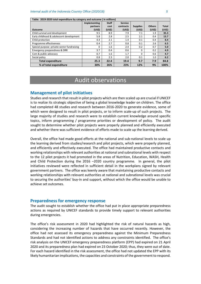**Table: 2019-2020 total expenditure by category and outcome ( in millions)** 

| Table: 2019-2020 total expenditure by category and outcome ( in millions) |                     |              |                |                 |               |              |  |
|---------------------------------------------------------------------------|---------------------|--------------|----------------|-----------------|---------------|--------------|--|
|                                                                           | <b>Implementing</b> | <b>Staff</b> | <b>Service</b> |                 |               |              |  |
|                                                                           | partners            | cost         | contracts      | <b>Supplies</b> | <b>Others</b> | <b>Total</b> |  |
| <b>Outcome</b>                                                            | (USS)               | (US\$)       | (USS)          | (USS)           | (USS)         | (US\$)       |  |
| Child survival and development                                            | 9.5                 | 8.9          | 7.9            | 7.1             | 1.9           | 35.3         |  |
| Early childhood & adolescent development                                  | 5.8                 | 2.8          | 2.5            | 2.1             | 0.4           | 13.7         |  |
| Child protection                                                          | 4.4                 | 2.1          | 1.4            | 0.1             | 0.4           | 8.4          |  |
| Programme effectiveness                                                   | 0.4                 | 2.7          | 0.8            | 0.1             | 2.6           | 6.5          |  |
| Special purpose -private sector fundraising                               | 0                   | 1.6          | 2.4            | 0.2             | 0.7           | 5.0          |  |
| Emergency preparedness & DRR                                              | 3.7                 | 0.4          | 0.6            | 0               | 0.2           | 4.9          |  |
| Com & public advocacy                                                     | 0.7                 | 1.6          | 1.7            | $\Omega$        | 0.6           | 4.7          |  |
| Social policy                                                             | 0.8                 | 2.3          | 2.0            | 0.1             | 1.0           | 6.2          |  |
| <b>Total expenditure</b>                                                  | 25.3                | 22.4         | 19.4           | 9.7             | 7.9           | 84.8         |  |
| % of total expenditure                                                    | 30%                 | 26%          | 23%            | 12%             | 9%            | 100%         |  |

## Audit observations

#### **Management of pilot initiatives**

Studies and research that result in pilot projects which are then scaled up are crucial if UNICEF is to realize its strategic objective of being a global knowledge leader on children. The office had completed 48 studies and research between 2016-2020 to generate evidence, some of which were designed to result in pilot projects, or to inform scale-up of such projects. The large majority of studies and research were to establish current knowledge around specific topics, inform programming / programme priorities or development of policy. The audit sought to determine whether pilot projects were properly planned and efficiently executed and whether there was sufficient evidence of efforts made to scale up the learning derived.

Overall, the office had made good efforts at the national and sub-national levels to scale up the learning derived from studies/research and pilot projects, which were properly planned, and efficiently and effectively executed. The office had maintained productive contacts and working relationships with relevant authorities at national and subnational levels with respect to the 12 pilot projects it had promoted in the areas of Nutrition, Education, WASH, Health and Child Protection during the 2016 –2020 country programme. In general, the pilot initiatives reviewed were reflected in sufficient detail in the workplans signed by relevant government partners. The office was keenly aware that maintaining productive contacts and working relationships with relevant authorities at national and subnational levels was crucial to securing the authorities' buy-in and support, without which the office would be unable to achieve set outcomes.

#### **Preparedness for emergency response**

The audit sought to establish whether the office had put in place appropriate preparedness actions as required by UNICEF standards to provide timely support to relevant authorities during emergencies.

The office's risk assessment in 2020 had highlighted the risk of natural hazards as high, considering the increasing number of hazards that have occurred recently. However, the office had not assessed its emergency preparedness against the Minimum Preparedness Standards and had not identified actions to address any constraints identified. The office's risk analysis on the UNICEF emergency preparedness platform (EPP) had expired on 21 April 2020 and its preparedness plan had expired on 23 October 2020; thus, they were out of date. For each hazard identified in the risk assessment, the office had not updated the EPP with its likely humanitarian implications, the capacities and constraints of the government to respond.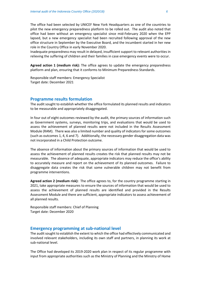The office had been selected by UNICEF New York Headquarters as one of the countries to pilot the new emergency preparedness platform to be rolled out. The audit also noted that office had been without an emergency specialist since mid-February 2020 when the EPP lapsed, but a new emergency specialist had been recruited following approval of the new office structure in September by the Executive Board, and the incumbent started in her new role in the Country Office in early November 2020.

Inadequate preparedness may result in delayed, insufficient support to relevant authorities in relieving the suffering of children and their families in case emergency events were to occur.

**Agreed action 1 (medium risk):** The office agrees to update the emergency preparedness platform and plan, ensuring that it conforms to Minimum Preparedness Standards.

Responsible staff members: Emergency Specialist Target date: December 2021

#### **Programme results formulation**

The audit sought to establish whether the office formulated its planned results and indicators to be measurable and appropriately disaggregated.

In four out of eight outcomes reviewed by the audit, the primary sources of information such as Government systems, surveys, monitoring trips, and evaluations that would be used to assess the achievement of planned results were not included in the Results Assessment Module (RAM). There was also a limited number and quality of indicators for some outcomes (such as outcomes 1, 4, 6 and 7). Additionally, the necessary gender disaggregation data was not incorporated in a Child Protection outcome.

The absence of information about the primary sources of information that would be used to assess the achievement of planned results creates the risk that planned results may not be measurable. The absence of adequate, appropriate indicators may reduce the office's ability to accurately measure and report on the achievement of its planned outcomes. Failure to disaggregate data creates the risk that some vulnerable children may not benefit from programme interventions.

**Agreed action 2 (medium risk):** The office agrees to, for the country programme starting in 2021, take appropriate measures to ensure the sources of information that would be used to assess the achievement of planned results are identified and provided in the Results Assessment Module and there are sufficient, appropriate indicators to assess achievement of all planned results.

Responsible staff members: Chief of Planning Target date: December 2020

#### **Emergency programming at sub-national level**

The audit sought to establish the extent to which the office had effectively communicated and involved relevant stakeholders, including its own staff and partners, in planning its work at sub-national level.

The Office had developed its 2019-2020 work plan in respect of its regular programme with input from appropriate authorities such as the Ministry of Planning and the Ministry of Home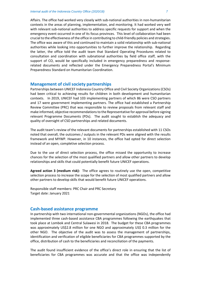Affairs. The office had worked very closely with sub-national authorities in non-humanitarian contexts in the areas of planning, implementation, and monitoring. It had worked very well with relevant sub-national authorities to address specific requests for support and when the emergency event occurred in one of its focus provinces. This level of collaboration had been crucial to the effectiveness of the office in contributing to child-friendly policies and strategies. The office was aware of this and continued to maintain a solid relationship with sub-national authorities while looking into opportunities to further improve the relationship. Regarding the latter, the office told the audit team that Standard Operating Procedures related to consultation and coordination with subnational authorities by field office staff, with the support of CO, would be specifically included in emergency preparedness and responserelated documents and reflected under the Emergency Preparedness Portal's Minimum Preparedness Standard on Humanitarian Coordination.

#### **Management of civil society partnerships**

Partnerships between UNICEF Indonesia Country Office and Civil Society Organizations (CSOs) had been critical to achieving results for children in both development and humanitarian contexts. In 2019, UNICEF had 103 implementing partners of which 86 were CSO partners and 17 were government implementing partners. The office had established a Partnership Review Committee (PRC) that was responsible to review proposals from relevant staff and make informed, objective recommendations to the Representative for approval before signing relevant Programme Documents (PDs). The audit sought to establish the adequacy and quality of oversight of CSO partnerships and related documents.

The audit team's review of the relevant documents for partnerships established with 11 CSOs noted that overall, the outcomes / outputs in the relevant PDs were aligned with the results framework and MYWP. However, in 10 instances, the office had opted for direct selection instead of an open, completive selection process.

Due to the use of direct selection process, the office missed the opportunity to increase chances for the selection of the most qualified partners and allow other partners to develop relationships and skills that could potentially benefit future UNICEF operations.

**Agreed action 3 (medium risk):** The office agrees to routinely use the open, competitive selection process to increase the scope for the selection of most qualified partners and allow other partners to develop skills that would benefit future UNICEF operations.

Responsible staff members: PRC Chair and PRC Secretary Target date: January 2021

#### **Cash-based assistance programme**

In partnership with two international non-governmental organizations (NGOs), the office had implemented three cash-based assistance CBA programmes following the earthquakes that took place at Lombok and Central Sulawesi in 2018. The budget for these CBA programmes was approximately US\$2.8 million for one NGO and approximately US\$ 0.3 million for the other NGO. The objective of the audit was to assess the management of partnerships, identification and verification of eligible beneficiaries for CBA programmes supported by the office, distribution of cash to the beneficiaries and reconciliation of the payments.

The audit found insufficient evidence of the office's direct role in ensuring that the list of beneficiaries for CBA programmes was accurate and that the office was independently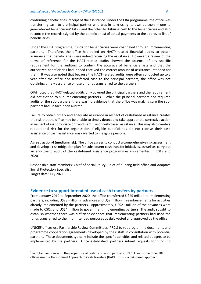confirming beneficiaries' receipt of the assistance. Under the CBA programme, the office was transferring cash to a principal partner who was in turn using its own partners – one to generate/vet beneficiaries' lists – and the other to disburse cash to the beneficiaries and also reconcile the records (signed by the beneficiaries) of actual payments to the approved list of beneficiaries.

Under the CBA programme, funds for beneficiaries were channeled through implementing partners. Therefore, the office had relied on HACT<sup>[2](#page-7-0)</sup>-related financial audits to obtain assurance that beneficiaries were indeed receiving the assistance. However, a review of the terms of reference for the HACT-related audits showed the absence of any specific requirement for the auditors to confirm the accuracy of beneficiary lists and that the authorized beneficiaries had indeed received the correct amount of assistance intended for them. It was also noted that because the HACT-related audits were often conducted up to a year after the office had transferred cash to the principal partners, the office was not obtaining timely assurance on use of funds transferred to the partners.

OIAI noted that HACT-related audits only covered the principal partners and the requirement did not extend to sub-implementing partners. While the principal partners had required audits of the sub-partners, there was no evidence that the office was making sure the subpartners had, in fact, been audited.

Failure to obtain timely and adequate assurance in respect of cash-based assistance creates the risk that the office may be unable to timely detect and take appropriate corrective action in respect of inappropriate or fraudulent use of cash-based assistance. This may also create a reputational risk for the organization if eligible beneficiaries did not receive their cash assistance or cash assistance was diverted to ineligible persons.

**Agreed action 4 (medium risk):** The office agrees to conduct a comprehensive risk assessment and develop a risk mitigation plan for subsequent cash transfer initiatives, as well as carry out an end-to-end audit of the cash-based assistance programmes implemented in 2019 and 2020.

Responsible staff members: Chief of Social Policy, Chief of Kupang field office and Adaptive Social Protection Specialist Target date: July 2021

#### **Evidence to support intended use of cash transfers by partners**

From January 2019 to September 2020, the office transferred U\$25 million to implementing partners, including U\$23 million in advances and U\$2 million in reimbursements for activities already implemented by the partners. Approximately, US\$21 million of the advances were made to CSOs and US\$4 million to government implementing partners. The audit sought to establish whether there was sufficient evidence that implementing partners had used the funds transferred to them for intended purposes as duly vetted and approved by the office.

UNICEF offices use Partnership Review Committees (PRCs) to vet programme documents and programme cooperation agreements developed by their staff in consultation with potential partners. These documents typically include the specific activities and related budgets to be implemented by the partners. Once established, partners submit requests for funds to

<span id="page-7-0"></span> $2$ To obtain assurance on the proper use of cash transfers to partners, UNICEF and some other UN offices use the Harmonized Approach to Cash Transfers (HACT). This is a risk-based approach.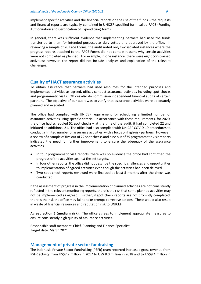implement specific activities and the financial reports on the use of the funds – the requests and financial reports are typically contained in UNICEF-specified form called FACE (Funding Authorization and Certification of Expenditure) forms.

In general, there was sufficient evidence that implementing partners had used the funds transferred to them for intended purposes as duly vetted and approved by the office. In reviewing a sample of 20 Face Forms, the audit noted only two isolated instances where the progress reports attached to the FACE Forms did not contain reasons why certain activities were not completed as planned. For example, in one instance, there were eight constrained activities; however, the report did not include analyses and explanation of the relevant challenges.

#### **Quality of HACT assurance activities**

To obtain assurance that partners had used resources for the intended purposes and implemented activities as agreed, offices conduct assurance activities including spot checks and programmatic visits. Offices also do commission independent financial audits of certain partners. The objective of our audit was to verify that assurance activities were adequately planned and executed.

The office had complied with UNICEF requirement for scheduling a limited number of assurance activities using specific criteria. In accordance with these requirements, for 2020, the office had scheduled 52 spot checks – at the time of the audit, it had completed 22 and initiated an additional 21. The office had also complied with UNICEF COVID-19 procedures to conduct a limited number of assurance activities, with a focus on high-risk partners. However, a review of a sample of five out of 22 spot checks and nine out of 75 programmatic visit reports indicated the need for further improvement to ensure the adequacy of the assurance activities.

- In four programmatic visit reports, there was no evidence the office had confirmed the progress of the activities against the set targets.
- In four other reports, the office did not describe the specific challenges and opportunities to implementation of agreed activities even though the activities had been delayed.
- Two spot check reports reviewed were finalized at least 5 months after the check was conducted.

If the assessment of progress in the implementation of planned activities are not consistently reflected in the relevant monitoring reports, there is the risk that some planned activities may not be implemented as agreed. Further, if spot check reports are not promptly completed, there is the risk the office may fail to take prompt corrective actions. These would also result in waste of financial resources and reputation risk to UNICEF.

**Agreed action 5 (medium risk):** The office agrees to implement appropriate measures to ensure consistently high quality of assurance activities.

Responsible staff members: Chief, Planning and Finance Specialist Target date: March 2021

#### **Management of private sector fundraising**

The Indonesia Private Sector Fundraising (PSFR) team reported increased gross revenue from PSFR activity from US\$7.2 million in 2017 to US\$ 8.0 million in 2018 and to US\$9.4 million in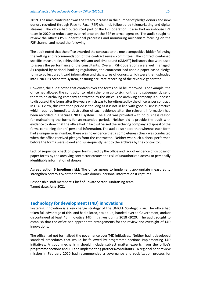2019. The main contributor was the steady increase in the number of pledge donors and new donors recruited through Face-to-Face (F2F) channel, followed by telemarketing and digital streams. The office had outsourced part of the F2F operation. It also had an in-house F2F team in 2020 to reduce any over-reliance on the F2F external agencies. The audit sought to review the office's PSFR operational processes and monitoring mechanism focusing on the F2F channel and noted the following.

The audit noted that the office awarded the contract to the most competitive bidder following the vetting and recommendation of the contract review committee. The contract contained specific, measurable, achievable, relevant and timebound (SMART) indicators that were used to assess the performance of the consultants. Overall, PSFR operations were well managed. As required by national banking regulations, the contractor had used a paper-based pledge form to collect credit card information and signatures of donors, which were then uploaded into UNICEF's corporate system, ensuring accurate recording of the revenue generated.

However, the audit noted that controls over the forms could be improved. For example, the office had allowed the contractor to retain the form up to six months and subsequently send them to an archiving company contracted by the office. The archiving company is supposed to dispose of the forms after five years which was to be witnessed by the office as per contract. In OIAI's view, this retention period is too long as it is not in line with good business practice which requires immediate destruction of such evidence after the relevant information had been recorded in a secure UNICEF system. The audit was provided with no business reason for maintaining the forms for an extended period. Neither did it provide the audit with evidence to show that the office had in fact witnessed the archiving company's disposal of the forms containing donors' personal information. The audit also noted that whereas each form had a unique serial number, there was no evidence that a completeness check was conducted when the office received pledges from the contractor. Neither was such a check performed before the forms were stored and subsequently sent to the archives by the contractor.

Lack of sequential check on paper forms used by the office and lack of evidence of disposal of paper forms by the archiving contractor creates the risk of unauthorized access to personally identifiable information of donors.

**Agreed action 6 (medium risk):** The office agrees to implement appropriate measures to strengthen controls over the form with donors' personal information it captures.

Responsible staff members: Chief of Private Sector Fundraising team Target date: June 2021

#### **Technology for development (T4D) innovations**

Fostering innovation is a key change strategy of the UNICEF Strategic Plan. The office had taken full advantage of this, and had piloted, scaled-up, handed over to Government, and/or discontinued at least 45 innovative T4D initiatives during 2018 -2020. The audit sought to establish that the office had appropriate arrangements for the review and oversight of T4D innovations.

The office had not formalized the governance over T4D initiatives. Neither had it developed standard procedures that would be followed by programme sections implementing T4D initiatives. A good mechanism should include subject matter experts from the office's programme sections and ICT and implementing partners/consultants. A regional peer review mission in February 2020 had recommended a governance and socialization process for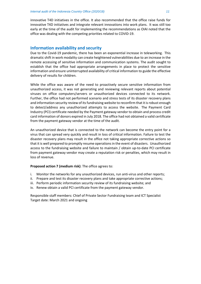innovative T4D initiatives in the office. It also recommended that the office raise funds for innovative T4D initiatives and integrate relevant innovations into work plans. It was still too early at the time of the audit for implementing the recommendations as OIAI noted that the office was dealing with the competing priorities related to COVID-19.

#### **Information availability and security**

Due to the Covid-19 pandemic, there has been an exponential increase in teleworking. This dramatic shift in work modality can create heightened vulnerabilities due to an increase in the remote accessing of sensitive information and communication systems. The audit sought to establish that the office had appropriate arrangements in place to protect the sensitive information and ensure uninterrupted availability of critical information to guide the effective delivery of results for children.

While the office was aware of the need to proactively secure sensitive information from unauthorized access, it was not generating and reviewing relevant reports about potential viruses on office computers/servers or unauthorized devices connected to its network. Further, the office had not performed scenario and stress tests of its disaster recovery plans and information security review of its fundraising website to reconfirm that it is robust enough to detect/address any unauthorized attempts to access the website. The Payment Card Industry (PCI) certificate needed by the Payment gateway vendor to obtain and process credit card information of donors expired in July 2018. The office had not obtained a valid certificate from the payment gateway vendor at the time of the audit.

An unauthorized device that is connected to the network can become the entry point for a virus that can spread very quickly and result in loss of critical information. Failure to test the disaster recovery plans may result in the office not taking appropriate corrective actions so that it is well prepared to promptly resume operations in the event of disasters. Unauthorized access to the fundraising website and failure to maintain / obtain up-to-date PCI certificate from payment gateway vendor may create a reputation risk or penalties, which may result in loss of revenue.

#### **Proposed action 7 (medium risk)**: The office agrees to:

- i. Monitor the networks for any unauthorized devices, run anti-virus and other reports;
- ii. Prepare and test its disaster recovery plans and take appropriate corrective actions;
- iii. Perform periodic information security review of its fundraising website; and
- iv. Renew obtain a valid PCI certificate from the payment gateway vendor.

Responsible staff members: Chief of Private Sector Fundraising team and ICT Specialist Target date: March 2021 and ongoing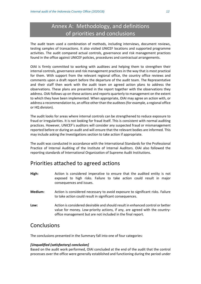## Annex A: Methodology, and definitions of priorities and conclusions

The audit team used a combination of methods, including interviews, document reviews, testing samples of transactions. It also visited UNICEF locations and supported programme activities. The audit compared actual controls, governance and risk management practices found in the office against UNICEF policies, procedures and contractual arrangements.

OIAI is firmly committed to working with auditees and helping them to strengthen their internal controls, governance and risk management practices in the way that is most practical for them. With support from the relevant regional office, the country office reviews and comments upon a draft report before the departure of the audit team. The Representative and their staff then work with the audit team on agreed action plans to address the observations. These plans are presented in the report together with the observations they address. OIAI follows up on these actions and reports quarterly to management on the extent to which they have been implemented. When appropriate, OIAI may agree an action with, or address a recommendation to, an office other than the auditees (for example, a regional office or HQ division).

The audit looks for areas where internal controls can be strengthened to reduce exposure to fraud or irregularities. It is not looking for fraud itself. This is consistent with normal auditing practices. However, UNICEF's auditors will consider any suspected fraud or mismanagement reported before or during an audit and will ensure that the relevant bodies are informed. This may include asking the Investigations section to take action if appropriate.

The audit was conducted in accordance with the International Standards for the Professional Practice of Internal Auditing of the Institute of Internal Auditors. OIAI also followed the reporting standards of International Organization of Supreme Audit Institutions.

### Priorities attached to agreed actions

- **High:** Action is considered imperative to ensure that the audited entity is not exposed to high risks. Failure to take action could result in major consequences and issues.
- **Medium:** Action is considered necessary to avoid exposure to significant risks. Failure to take action could result in significant consequences.
- **Low:** Action is considered desirable and should result in enhanced control or better value for money. Low-priority actions, if any, are agreed with the countryoffice management but are not included in the final report.

### **Conclusions**

The conclusions presented in the Summary fall into one of four categories:

#### *[Unqualified (satisfactory) conclusion]*

Based on the audit work performed, OIAI concluded at the end of the audit that the control processes over the office were generally established and functioning during the period under